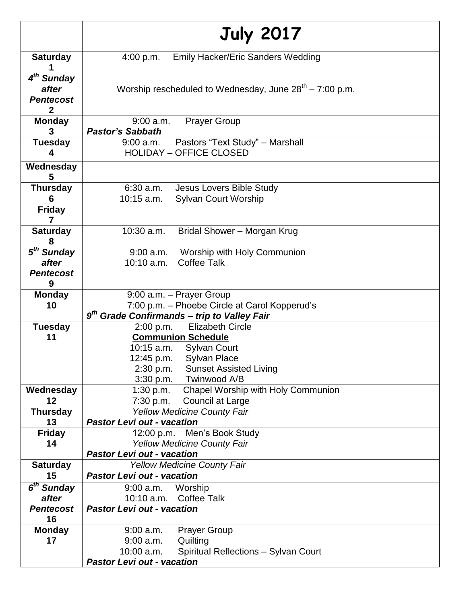|                                                           | <b>July 2017</b>                                                                                                                                                                                                    |
|-----------------------------------------------------------|---------------------------------------------------------------------------------------------------------------------------------------------------------------------------------------------------------------------|
| <b>Saturday</b>                                           | <b>Emily Hacker/Eric Sanders Wedding</b><br>4:00 p.m.                                                                                                                                                               |
| 4 <sup>th</sup> Sunday<br>after<br><b>Pentecost</b><br>2  | Worship rescheduled to Wednesday, June $28^{th} - 7:00$ p.m.                                                                                                                                                        |
| <b>Monday</b><br>3                                        | <b>Prayer Group</b><br>$9:00$ a.m.<br><b>Pastor's Sabbath</b>                                                                                                                                                       |
| <b>Tuesday</b><br>4                                       | Pastors "Text Study" - Marshall<br>9:00 a.m.<br><b>HOLIDAY - OFFICE CLOSED</b>                                                                                                                                      |
| Wednesday<br>5                                            |                                                                                                                                                                                                                     |
| <b>Thursday</b><br>6                                      | 6:30 a.m.<br>Jesus Lovers Bible Study<br><b>Sylvan Court Worship</b><br>$10:15$ a.m.                                                                                                                                |
| <b>Friday</b><br>7                                        |                                                                                                                                                                                                                     |
| <b>Saturday</b><br>8                                      | 10:30 a.m.<br>Bridal Shower - Morgan Krug                                                                                                                                                                           |
| 5 <sup>th</sup> Sunday<br>after<br><b>Pentecost</b><br>9  | Worship with Holy Communion<br>$9:00$ a.m.<br><b>Coffee Talk</b><br>$10:10$ a.m.                                                                                                                                    |
| <b>Monday</b><br>10                                       | 9:00 a.m. - Prayer Group<br>7:00 p.m. - Phoebe Circle at Carol Kopperud's<br>9 <sup>th</sup> Grade Confirmands - trip to Valley Fair                                                                                |
| <b>Tuesday</b><br>11                                      | <b>Elizabeth Circle</b><br>2:00 p.m.<br><b>Communion Schedule</b><br>10:15 a.m.<br><b>Sylvan Court</b><br><b>Sylvan Place</b><br>12:45 p.m.<br>2:30 p.m.<br><b>Sunset Assisted Living</b><br>3:30 p.m. Twinwood A/B |
| Wednesday<br>12                                           | Chapel Worship with Holy Communion<br>1:30 p.m.<br>7:30 p.m.<br><b>Council at Large</b>                                                                                                                             |
| <b>Thursday</b><br>13                                     | Yellow Medicine County Fair<br><b>Pastor Levi out - vacation</b>                                                                                                                                                    |
| <b>Friday</b><br>14                                       | 12:00 p.m. Men's Book Study<br><b>Yellow Medicine County Fair</b><br><b>Pastor Levi out - vacation</b>                                                                                                              |
| <b>Saturday</b><br>15                                     | <b>Yellow Medicine County Fair</b><br><b>Pastor Levi out - vacation</b>                                                                                                                                             |
| 6 <sup>th</sup> Sunday<br>after<br><b>Pentecost</b><br>16 | Worship<br>$9:00$ a.m.<br>10:10 a.m. Coffee Talk<br><b>Pastor Levi out - vacation</b>                                                                                                                               |
| <b>Monday</b><br>17                                       | $9:00$ a.m.<br><b>Prayer Group</b><br>Quilting<br>$9:00$ a.m.<br>Spiritual Reflections - Sylvan Court<br>$10:00$ a.m.<br><b>Pastor Levi out - vacation</b>                                                          |